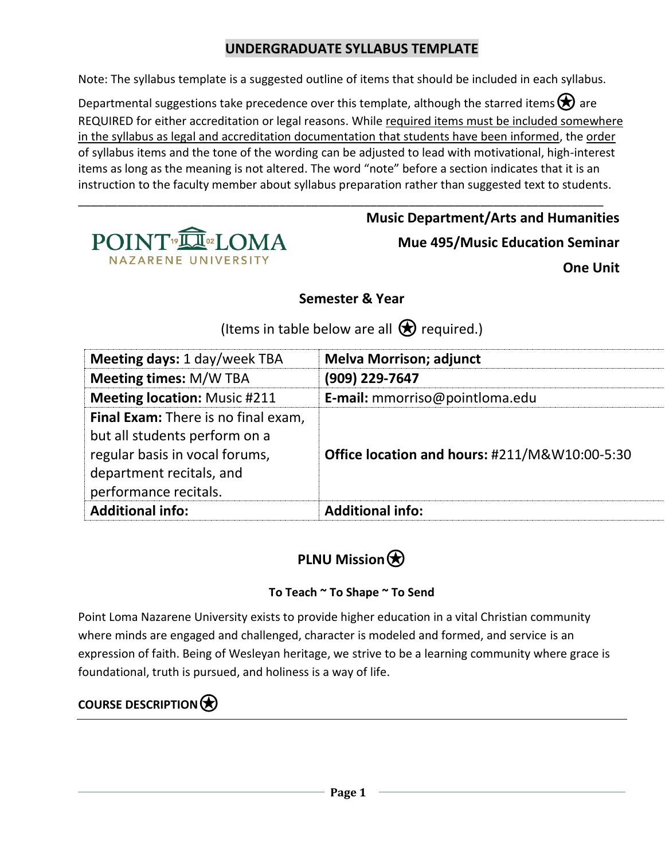### **UNDERGRADUATE SYLLABUS TEMPLATE**

Note: The syllabus template is a suggested outline of items that should be included in each syllabus.

Departmental suggestions take precedence over this template, although the starred items  $\bigotimes$  are REQUIRED for either accreditation or legal reasons. While required items must be included somewhere in the syllabus as legal and accreditation documentation that students have been informed, the order of syllabus items and the tone of the wording can be adjusted to lead with motivational, high-interest items as long as the meaning is not altered. The word "note" before a section indicates that it is an instruction to the faculty member about syllabus preparation rather than suggested text to students.

\_\_\_\_\_\_\_\_\_\_\_\_\_\_\_\_\_\_\_\_\_\_\_\_\_\_\_\_\_\_\_\_\_\_\_\_\_\_\_\_\_\_\_\_\_\_\_\_\_\_\_\_\_\_\_\_\_\_\_\_\_\_\_\_\_\_\_\_\_\_\_\_\_\_\_\_\_\_\_\_\_



**Music Department/Arts and Humanities Mue 495/Music Education Seminar One Unit**

**Semester & Year**

(Items in table below are all  $\bigotimes$  required.)

| Meeting days: 1 day/week TBA                                                                                                                                | <b>Melva Morrison; adjunct</b>                |
|-------------------------------------------------------------------------------------------------------------------------------------------------------------|-----------------------------------------------|
| <b>Meeting times: M/W TBA</b>                                                                                                                               | (909) 229-7647                                |
| <b>Meeting location: Music #211</b>                                                                                                                         | E-mail: mmorriso@pointloma.edu                |
| Final Exam: There is no final exam,<br>but all students perform on a<br>regular basis in vocal forums,<br>department recitals, and<br>performance recitals. | Office location and hours: #211/M&W10:00-5:30 |
| <b>Additional info:</b>                                                                                                                                     | <b>Additional info:</b>                       |

# **PLNU Mission** $\bigcirc$

#### **To Teach ~ To Shape ~ To Send**

Point Loma Nazarene University exists to provide higher education in a vital Christian community where minds are engaged and challenged, character is modeled and formed, and service is an expression of faith. Being of Wesleyan heritage, we strive to be a learning community where grace is foundational, truth is pursued, and holiness is a way of life.

## **COURSE DESCRIPTION**⍟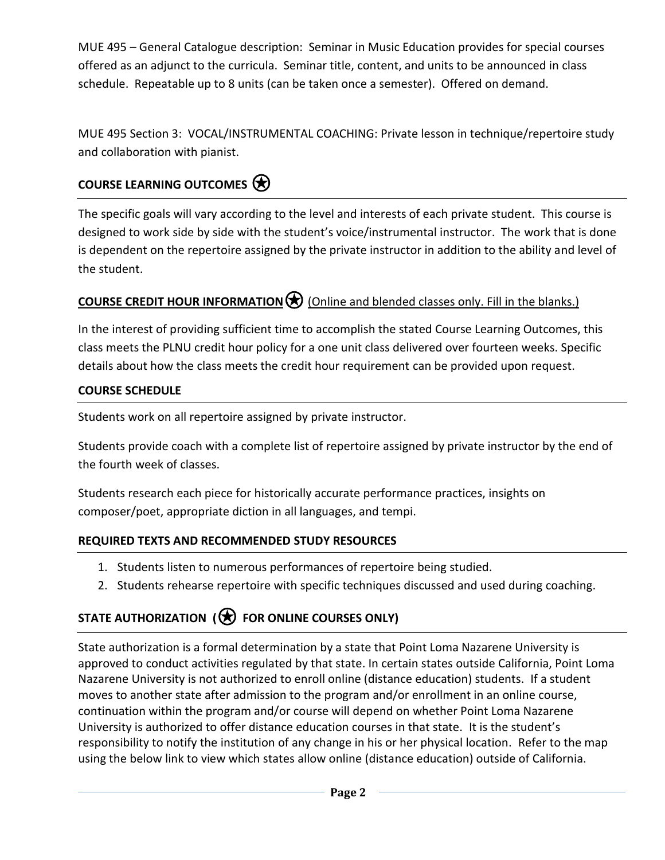MUE 495 – General Catalogue description: Seminar in Music Education provides for special courses offered as an adjunct to the curricula. Seminar title, content, and units to be announced in class schedule. Repeatable up to 8 units (can be taken once a semester). Offered on demand.

MUE 495 Section 3: VOCAL/INSTRUMENTAL COACHING: Private lesson in technique/repertoire study and collaboration with pianist.

### **COURSE LEARNING OUTCOMES**⍟

The specific goals will vary according to the level and interests of each private student. This course is designed to work side by side with the student's voice/instrumental instructor. The work that is done is dependent on the repertoire assigned by the private instructor in addition to the ability and level of the student.

## **COURSE CREDIT HOUR INFORMATION** (Online and blended classes only. Fill in the blanks.)

In the interest of providing sufficient time to accomplish the stated Course Learning Outcomes, this class meets the PLNU credit hour policy for a one unit class delivered over fourteen weeks. Specific details about how the class meets the credit hour requirement can be provided upon request.

#### **COURSE SCHEDULE**

Students work on all repertoire assigned by private instructor.

Students provide coach with a complete list of repertoire assigned by private instructor by the end of the fourth week of classes.

Students research each piece for historically accurate performance practices, insights on composer/poet, appropriate diction in all languages, and tempi.

#### **REQUIRED TEXTS AND RECOMMENDED STUDY RESOURCES**

- 1. Students listen to numerous performances of repertoire being studied.
- 2. Students rehearse repertoire with specific techniques discussed and used during coaching.

# **STATE AUTHORIZATION (**⍟ **FOR ONLINE COURSES ONLY)**

State authorization is a formal determination by a state that Point Loma Nazarene University is approved to conduct activities regulated by that state. In certain states outside California, Point Loma Nazarene University is not authorized to enroll online (distance education) students. If a student moves to another state after admission to the program and/or enrollment in an online course, continuation within the program and/or course will depend on whether Point Loma Nazarene University is authorized to offer distance education courses in that state. It is the student's responsibility to notify the institution of any change in his or her physical location. Refer to the map using the below link to view which states allow online (distance education) outside of California.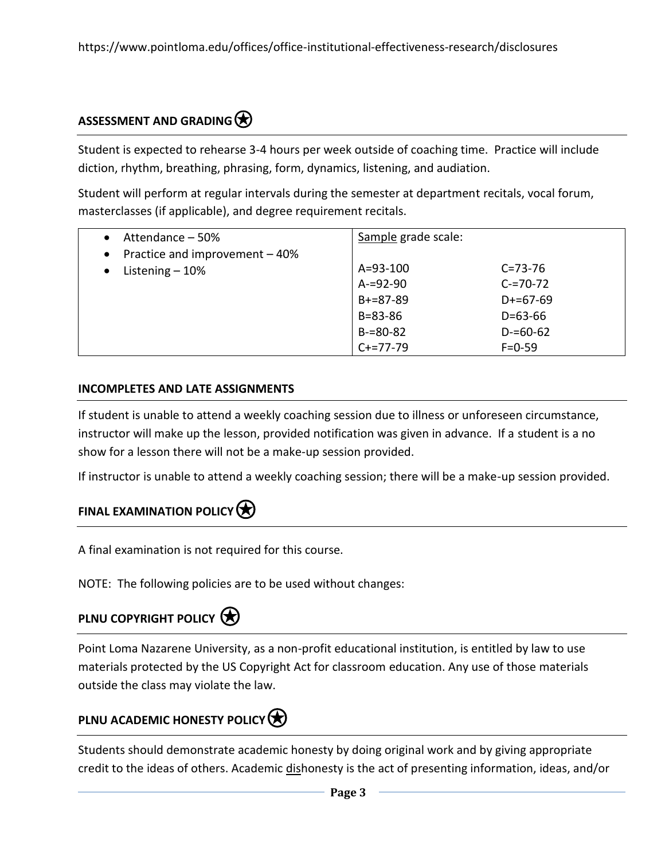### **ASSESSMENT AND GRADING**

Student is expected to rehearse 3-4 hours per week outside of coaching time. Practice will include diction, rhythm, breathing, phrasing, form, dynamics, listening, and audiation.

Student will perform at regular intervals during the semester at department recitals, vocal forum, masterclasses (if applicable), and degree requirement recitals.

| Attendance – 50%                            | Sample grade scale: |               |
|---------------------------------------------|---------------------|---------------|
| Practice and improvement - 40%<br>$\bullet$ |                     |               |
| Listening $-10%$<br>$\bullet$               | $A = 93 - 100$      | $C = 73 - 76$ |
|                                             | $A = 92 - 90$       | $C = 70 - 72$ |
|                                             | $B+=87-89$          | $D+=67-69$    |
|                                             | $B = 83 - 86$       | $D = 63 - 66$ |
|                                             | $B = 80 - 82$       | $D = 60 - 62$ |
|                                             | $C+=77-79$          | $F = 0 - 59$  |

#### **INCOMPLETES AND LATE ASSIGNMENTS**

If student is unable to attend a weekly coaching session due to illness or unforeseen circumstance, instructor will make up the lesson, provided notification was given in advance. If a student is a no show for a lesson there will not be a make-up session provided.

If instructor is unable to attend a weekly coaching session; there will be a make-up session provided.

### **FINAL EXAMINATION POLICY**

A final examination is not required for this course.

NOTE: The following policies are to be used without changes:

## **PLNU COPYRIGHT POLICY**

Point Loma Nazarene University, as a non-profit educational institution, is entitled by law to use materials protected by the US Copyright Act for classroom education. Any use of those materials outside the class may violate the law.

### **PLNU ACADEMIC HONESTY POLICY**

Students should demonstrate academic honesty by doing original work and by giving appropriate credit to the ideas of others. Academic dishonesty is the act of presenting information, ideas, and/or